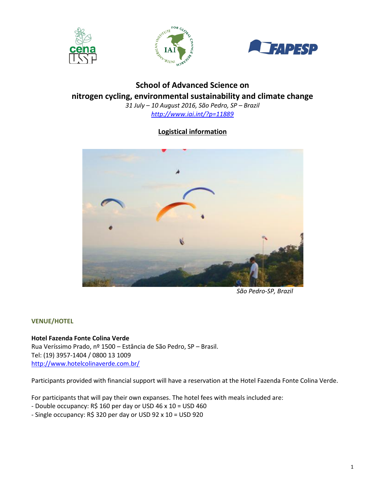





# **School of Advanced Science on nitrogen cycling, environmental sustainability and climate change** *31 July – 10 August 2016, São Pedro, SP – Brazil*

*<http://www.iai.int/?p=11889>*

# **Logistical information**



*São Pedro-SP, Brazil*

# **VENUE/HOTEL**

**Hotel Fazenda Fonte Colina Verde** Rua Veríssimo Prado, nº 1500 – Estância de São Pedro, SP – Brasil. Tel: (19) 3957-1404 / 0800 13 1009

<http://www.hotelcolinaverde.com.br/>

Participants provided with financial support will have a reservation at the Hotel Fazenda Fonte Colina Verde.

For participants that will pay their own expanses. The hotel fees with meals included are:

- Double occupancy: R\$ 160 per day or USD 46 x 10 = USD 460

- Single occupancy: R\$ 320 per day or USD 92 x 10 = USD 920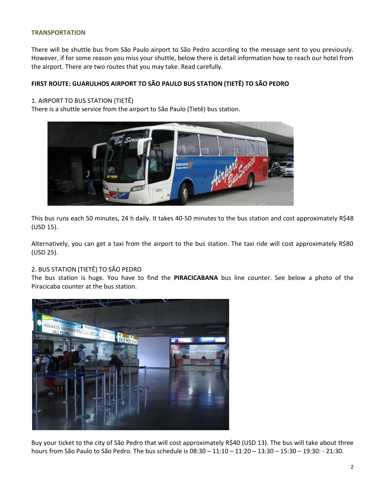#### **TRANSPORTATION**

There will be shuttle bus from São Paulo airport to São Pedro according to the message sent to you previously. However, if for some reason you miss your shuttle, below there is detail information how to reach our hotel from the airport. There are two routes that you may take. Read carefully.

# **FIRST ROUTE: GUARULHOS AIRPORT TO SÃO PAULO BUS STATION (TIETÊ) TO SÃO PEDRO**

# 1. AIRPORT TO BUS STATION (TIETÊ)

There is a shuttle service from the airport to São Paulo (Tietê) bus station.



This bus runs each 50 minutes, 24 h daily. It takes 40-50 minutes to the bus station and cost approximately R\$48 (USD 15).

Alternatively, you can get a taxi from the airport to the bus station. The taxi ride will cost approximately R\$80 (USD 25).

# 2. BUS STATION (TIETÊ) TO SÃO PEDRO

The bus station is huge. You have to find the **PIRACICABANA** bus line counter. See below a photo of the Piracicaba counter at the bus station.



Buy your ticket to the city of São Pedro that will cost approximately R\$40 (USD 13). The bus will take about three hours from São Paulo to São Pedro. The bus schedule is 08:30 – 11:10 – 11:20 – 13:30 – 15:30 – 19:30: - 21:30.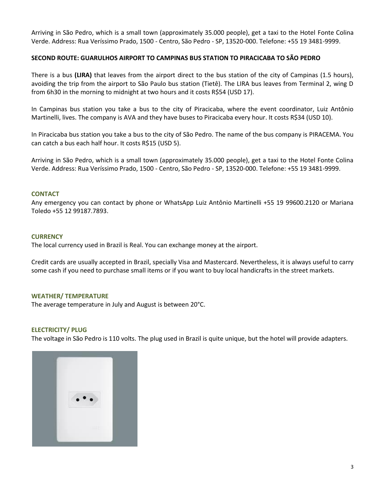Arriving in São Pedro, which is a small town (approximately 35.000 people), get a taxi to the Hotel Fonte Colina Verde. Address: Rua Veríssimo Prado, 1500 - Centro, São Pedro - SP, 13520-000. Telefone: +55 19 3481-9999.

# **SECOND ROUTE: GUARULHOS AIRPORT TO CAMPINAS BUS STATION TO PIRACICABA TO SÃO PEDRO**

There is a bus **(LIRA)** that leaves from the airport direct to the bus station of the city of Campinas (1.5 hours), avoiding the trip from the airport to São Paulo bus station (Tietê). The LIRA bus leaves from Terminal 2, wing D from 6h30 in the morning to midnight at two hours and it costs R\$54 (USD 17).

In Campinas bus station you take a bus to the city of Piracicaba, where the event coordinator, Luiz Antônio Martinelli, lives. The company is AVA and they have buses to Piracicaba every hour. It costs R\$34 (USD 10).

In Piracicaba bus station you take a bus to the city of São Pedro. The name of the bus company is PIRACEMA. You can catch a bus each half hour. It costs R\$15 (USD 5).

Arriving in São Pedro, which is a small town (approximately 35.000 people), get a taxi to the Hotel Fonte Colina Verde. Address: Rua Veríssimo Prado, 1500 - Centro, São Pedro - SP, 13520-000. Telefone: +55 19 3481-9999.

#### **CONTACT**

Any emergency you can contact by phone or WhatsApp Luiz Antônio Martinelli +55 19 99600.2120 or Mariana Toledo +55 12 99187.7893.

# **CURRENCY**

The local currency used in Brazil is Real. You can exchange money at the airport.

Credit cards are usually accepted in Brazil, specially Visa and Mastercard. Nevertheless, it is always useful to carry some cash if you need to purchase small items or if you want to buy local handicrafts in the street markets.

# **WEATHER/ TEMPERATURE**

The average temperature in July and August is between 20°C.

#### **ELECTRICITY/ PLUG**

The voltage in São Pedro is 110 volts. The plug used in Brazil is quite unique, but the hotel will provide adapters.